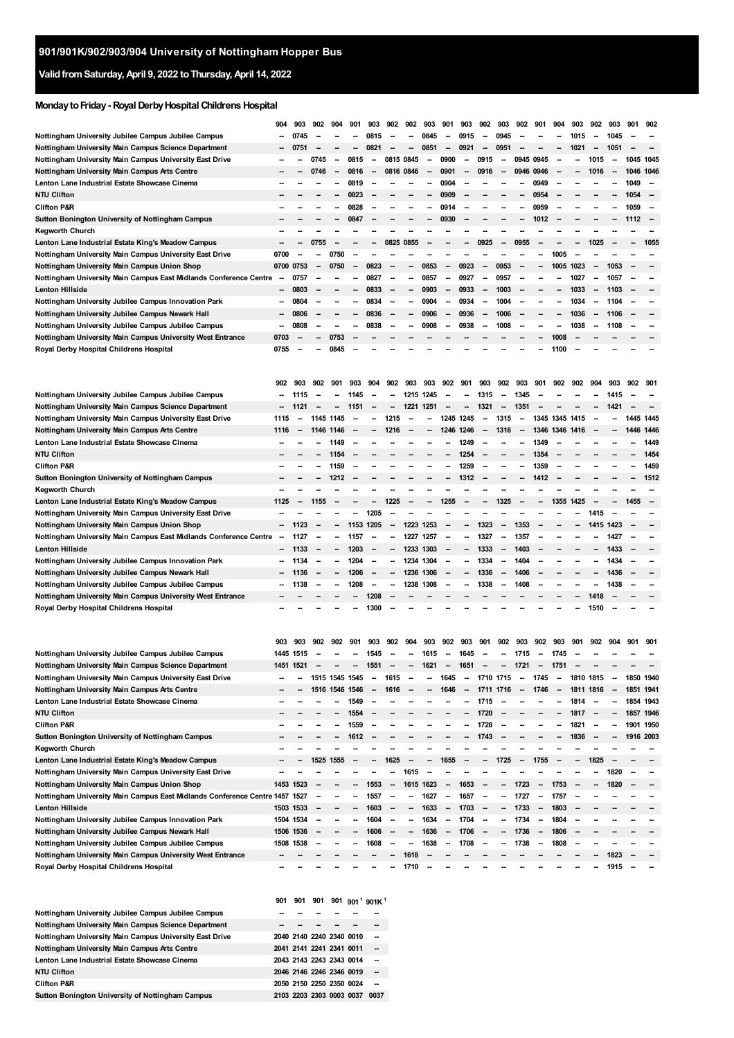## **ValidfromSaturday,April 9, 2022 toThursday,April 14, 2022**

## **MondaytoFriday- RoyalDerbyHospitalChildrens Hospital**

|                                                                                                          | 904                           | 903                                                    | 902                      | 904                      | 901                      | 903                      | 902                      | 902                      | 903                      | 901                            | 903                      | 902                                                  | 903                      | 902                      | 901                          | 904                      | 903          | 902                                           | 903                      | 901       | 902                      |
|----------------------------------------------------------------------------------------------------------|-------------------------------|--------------------------------------------------------|--------------------------|--------------------------|--------------------------|--------------------------|--------------------------|--------------------------|--------------------------|--------------------------------|--------------------------|------------------------------------------------------|--------------------------|--------------------------|------------------------------|--------------------------|--------------|-----------------------------------------------|--------------------------|-----------|--------------------------|
| Nottingham University Jubilee Campus Jubilee Campus                                                      | -                             | 0745                                                   |                          |                          |                          | 0815                     |                          |                          | 0845                     | --                             | 0915                     | -                                                    | 0945                     |                          |                              |                          | 1015         |                                               | 1045                     |           |                          |
| Nottingham University Main Campus Science Department                                                     |                               | 0751                                                   |                          |                          |                          | 0821                     | -                        | --                       | 0851                     | $\overline{\phantom{a}}$       | 0921                     | $\overline{\phantom{a}}$                             | 0951                     |                          |                              | -                        | 1021         | $\overline{\phantom{a}}$                      | 1051                     |           | $\overline{\phantom{a}}$ |
| Nottingham University Main Campus University East Drive                                                  |                               |                                                        | 0745                     | --                       | 0815                     | --                       | 0815 0845                |                          | --                       | 0900                           | -                        | 0915                                                 |                          | 0945 0945                |                              |                          |              | 1015                                          |                          | 1045 1045 |                          |
| Nottingham University Main Campus Arts Centre                                                            |                               |                                                        | 0746                     | $\overline{\phantom{a}}$ | 0816                     | $\overline{\phantom{a}}$ | 0816 0846                |                          | --                       | 0901                           | -                        | 0916                                                 | $\overline{\phantom{a}}$ | 0946                     | 0946                         |                          | -            | 1016                                          |                          | 1046 1046 |                          |
| Lenton Lane Industrial Estate Showcase Cinema                                                            |                               |                                                        |                          | --                       | 0819                     | --                       |                          |                          | --                       | 0904                           | -                        |                                                      |                          |                          | 0949                         |                          |              |                                               |                          | 1049      |                          |
| NTU Clifton                                                                                              |                               |                                                        |                          | --                       | 0823                     |                          |                          |                          | --                       | 0909                           |                          |                                                      |                          | -                        | 0954                         |                          |              |                                               |                          | 1054      |                          |
| <b>Clifton P&amp;R</b>                                                                                   |                               |                                                        |                          |                          | 0828                     |                          |                          |                          | $\overline{\phantom{a}}$ | 0914                           |                          |                                                      |                          |                          | 0959                         |                          |              |                                               |                          | 1059      | $\overline{\phantom{a}}$ |
| Sutton Bonington University of Nottingham Campus                                                         |                               |                                                        |                          |                          | 0847                     |                          |                          |                          |                          | 0930                           |                          |                                                      |                          |                          | 1012                         |                          |              |                                               |                          | 1112      |                          |
| Kegworth Church                                                                                          |                               |                                                        |                          |                          |                          |                          |                          |                          |                          |                                |                          |                                                      |                          |                          |                              |                          |              |                                               |                          |           |                          |
| Lenton Lane Industrial Estate King's Meadow Campus                                                       |                               |                                                        | 0755                     |                          |                          |                          | 0825                     | 0855                     |                          |                                |                          | 0925                                                 |                          | 0955                     |                              |                          |              | 1025                                          |                          |           | 1055                     |
| Nottingham University Main Campus University East Drive                                                  | 0700                          | -                                                      | --                       | 0750                     |                          |                          |                          |                          |                          |                                |                          |                                                      |                          |                          |                              | 1005                     |              |                                               |                          |           |                          |
| Nottingham University Main Campus Union Shop                                                             |                               | 0700 0753                                              | $\overline{\phantom{a}}$ | 0750                     | --                       | 0823                     | --                       | --                       | 0853                     | --                             | 0923                     | $\overline{\phantom{a}}$                             | 0953                     |                          |                              | 1005                     | 1023         | $\overline{\phantom{a}}$                      | 1053                     |           |                          |
| Nottingham University Main Campus East Midlands Conference Centre                                        | -                             | 0757                                                   |                          |                          |                          | 0827                     |                          | --                       | 0857                     | --                             | 0927                     |                                                      | 0957                     |                          |                              |                          | 1027         | -                                             | 1057                     |           |                          |
| Lenton Hillside                                                                                          | $\overline{\phantom{a}}$<br>- | 0803<br>0804                                           | -                        | --<br>--                 | --                       | 0833<br>0834             | -<br>$\sim$              | --                       | 0903<br>0904             | --<br>$\overline{\phantom{a}}$ | 0933<br>0934             | $\overline{\phantom{a}}$                             | 1003                     |                          |                              | -<br>-                   | 1033         | $\qquad \qquad \blacksquare$<br>$\frac{1}{2}$ | 1103                     |           |                          |
| Nottingham University Jubilee Campus Innovation Park<br>Nottingham University Jubilee Campus Newark Hall | $\overline{\phantom{a}}$      | 0806                                                   |                          | --                       | $\overline{\phantom{a}}$ | 0836                     |                          | -<br>--                  | 0906                     | --                             | 0936                     | $\overline{\phantom{a}}$<br>$\overline{\phantom{a}}$ | 1004<br>1006             |                          |                              | -                        | 1034<br>1036 | $\overline{\phantom{a}}$                      | 1104<br>1106             |           |                          |
| Nottingham University Jubilee Campus Jubilee Campus                                                      | -                             | 0808                                                   |                          |                          |                          | 0838                     |                          |                          | 0908                     |                                | 0938                     |                                                      | 1008                     |                          |                              |                          | 1038         |                                               | 1108                     |           |                          |
| Nottingham University Main Campus University West Entrance                                               | 0703                          |                                                        |                          | 0753                     |                          |                          |                          |                          |                          |                                |                          |                                                      |                          |                          |                              | 1008                     |              |                                               |                          |           |                          |
| Royal Derby Hospital Childrens Hospital                                                                  | 0755                          |                                                        |                          | 0845                     |                          |                          |                          |                          |                          |                                |                          |                                                      |                          |                          |                              | 1100                     |              |                                               |                          |           |                          |
|                                                                                                          | 902                           | 903                                                    | 902                      | 901                      | 903                      | 904                      | 902                      | 903                      | 903                      | 902                            | 901                      | 903                                                  | 902                      | 903                      | 901                          | 902                      | 902          | 904                                           | 903                      | 902       | 901                      |
| Nottingham University Jubilee Campus Jubilee Campus                                                      | --                            | 1115                                                   | -                        | --                       | 1145                     |                          | -                        |                          | 1215 1245                | --                             | -                        | 1315                                                 | $\overline{\phantom{a}}$ | 1345                     |                              |                          |              |                                               | 1415                     |           |                          |
| Nottingham University Main Campus Science Department                                                     |                               | 1121                                                   |                          | --                       | 1151                     |                          |                          | 1221                     | 1251                     |                                | -                        | 1321                                                 | $\overline{\phantom{a}}$ | 1351                     |                              |                          |              |                                               | 1421                     |           |                          |
| Nottingham University Main Campus University East Drive                                                  | 1115                          |                                                        | 1145 1145                |                          |                          |                          | 1215                     |                          |                          | 1245 1245                      |                          | -                                                    | 1315                     |                          | 1345 1345 1415               |                          |              | -                                             |                          | 1445 1445 |                          |
| Nottingham University Main Campus Arts Centre                                                            | 1116                          | -                                                      | 1146                     | 1146                     |                          | --                       | 1216                     | --                       | --                       | 1246                           | 1246                     | $\overline{\phantom{a}}$                             | 1316                     | $\overline{\phantom{a}}$ | 1346 1346                    |                          | 1416         |                                               |                          | 1446 1446 |                          |
| Lenton Lane Industrial Estate Showcase Cinema                                                            |                               |                                                        |                          | 1149                     |                          |                          |                          |                          |                          | --                             | 1249                     |                                                      |                          | -                        | 1349                         |                          |              |                                               |                          |           | 1449                     |
| NTU Clifton                                                                                              |                               |                                                        | --                       | 1154                     |                          |                          |                          |                          | --                       |                                | 1254                     |                                                      | -                        | -                        | 1354                         |                          |              |                                               |                          |           | 1454                     |
| Clifton P&R                                                                                              |                               |                                                        |                          | 1159                     |                          |                          |                          |                          |                          |                                | 1259                     |                                                      |                          |                          | 1359                         |                          |              |                                               |                          |           | 1459                     |
| Sutton Bonington University of Nottingham Campus                                                         |                               |                                                        |                          | 1212                     |                          |                          |                          |                          |                          |                                | 1312                     |                                                      |                          |                          | 1412                         |                          |              |                                               |                          |           | 1512                     |
| <b>Kegworth Church</b>                                                                                   |                               |                                                        |                          |                          |                          |                          |                          |                          |                          |                                |                          |                                                      |                          |                          |                              |                          |              |                                               |                          |           |                          |
| Lenton Lane Industrial Estate King's Meadow Campus                                                       | 1125                          |                                                        | 1155                     |                          |                          |                          | 1225                     |                          |                          | 1255                           |                          |                                                      | 1325                     |                          |                              | 1355                     | 1425         |                                               |                          | 1455      |                          |
| Nottingham University Main Campus University East Drive                                                  |                               |                                                        |                          |                          | --                       | 1205                     |                          | --                       |                          |                                |                          |                                                      |                          |                          |                              |                          |              | 1415                                          |                          |           |                          |
| Nottingham University Main Campus Union Shop                                                             |                               | 1123                                                   | --                       |                          | 1153 1205                |                          |                          |                          | 1223 1253                |                                |                          | 1323                                                 | -                        | 1353                     |                              |                          |              | 1415 1423                                     |                          |           |                          |
| Nottingham University Main Campus East Midlands Conference Centre                                        | -                             | 1127                                                   | -                        | --                       | 1157                     |                          |                          | 1227                     | 1257                     |                                | -                        | 1327                                                 | -                        | 1357                     |                              |                          |              |                                               | 1427                     |           |                          |
| Lenton Hillside                                                                                          |                               | 1133                                                   | $\overline{\phantom{a}}$ | --                       | 1203                     | $\overline{\phantom{a}}$ | $\overline{\phantom{a}}$ |                          | 1233 1303                |                                | --                       | 1333                                                 | $\overline{\phantom{a}}$ | 1403                     |                              |                          |              | -                                             | 1433                     |           |                          |
| Nottingham University Jubilee Campus Innovation Park                                                     |                               | 1134                                                   | $\sim$                   | --                       | 1204                     | $\overline{\phantom{a}}$ | $\overline{\phantom{a}}$ |                          | 1234 1304                | --                             | -                        | 1334                                                 | -                        | 1404                     |                              |                          |              |                                               | 1434                     |           |                          |
| Nottingham University Jubilee Campus Newark Hall                                                         |                               | 1136                                                   | -                        | $\overline{\phantom{a}}$ | 1206                     | $\overline{\phantom{a}}$ | $\sim$                   |                          | 1236 1306                |                                | --                       | 1336                                                 | $\overline{\phantom{a}}$ | 1406                     |                              |                          |              | -                                             | 1436                     |           |                          |
| Nottingham University Jubilee Campus Jubilee Campus                                                      |                               | 1138                                                   |                          |                          | 1208                     | --                       |                          | 1238                     | 1308                     |                                |                          | 1338                                                 |                          | 1408                     |                              |                          |              |                                               | 1438                     |           |                          |
| Nottingham University Main Campus University West Entrance                                               |                               |                                                        |                          |                          |                          | 1208                     |                          |                          |                          |                                |                          |                                                      |                          |                          |                              |                          |              | 1418                                          |                          |           |                          |
| Royal Derby Hospital Childrens Hospital                                                                  |                               |                                                        |                          |                          |                          | 1300                     |                          |                          |                          |                                |                          |                                                      |                          |                          |                              |                          |              | 1510                                          |                          |           |                          |
| Nottingham University Jubilee Campus Jubilee Campus                                                      | 903                           | 903<br>1445 1515                                       | 902                      | 902                      | 901                      | 903<br>1545              | 902                      | 904                      | 903<br>1615              | 902                            | 903<br>1645              | 901                                                  | 902                      | 903<br>1715              | 902                          | 903<br>1745              | 901          | 902                                           | 904                      | 901       | 901                      |
| Nottingham University Main Campus Science Department                                                     |                               | 1451 1521                                              |                          |                          |                          | 1551                     |                          |                          | 1621                     |                                | 1651                     |                                                      |                          | 1721                     |                              | 1751                     |              |                                               |                          |           |                          |
| Nottingham University Main Campus University East Drive                                                  |                               | -                                                      |                          |                          | 1515 1545 1545           | $\overline{\phantom{a}}$ | 1615                     | $\overline{\phantom{a}}$ | ۰.                       | 1645                           | $\overline{\phantom{a}}$ | 1710 1715                                            |                          | $\sim$                   | 1745                         | $\overline{\phantom{a}}$ | 1810 1815    |                                               | $\overline{\phantom{a}}$ | 1850 1940 |                          |
| Nottingham University Main Campus Arts Centre                                                            |                               |                                                        |                          | 1516 1546 1546           |                          |                          | 1616                     |                          | --                       | 1646                           |                          | 1711 1716                                            |                          | -                        | 1746                         |                          | 1811 1816    |                                               |                          | 1851 1941 |                          |
| Lenton Lane Industrial Estate Showcase Cinema                                                            |                               |                                                        |                          |                          | 1549                     |                          |                          |                          |                          |                                |                          | 1715                                                 |                          |                          |                              |                          | 1814         | $\overline{\phantom{a}}$                      | -                        | 1854 1943 |                          |
| NTU Clifton                                                                                              |                               |                                                        |                          | --                       | 1554                     |                          |                          |                          | --                       |                                | -                        | 1720                                                 | $\overline{\phantom{a}}$ |                          |                              | -                        | 1817         | $\overline{\phantom{a}}$                      | $\overline{\phantom{a}}$ | 1857 1946 |                          |
| Clifton P&R                                                                                              |                               |                                                        |                          |                          | 1559                     |                          |                          |                          |                          |                                |                          | 1728                                                 |                          |                          |                              |                          | 1821         |                                               |                          | 1901 1950 |                          |
| Sutton Bonington University of Nottingham Campus                                                         |                               |                                                        |                          | --                       | 1612                     |                          |                          |                          |                          |                                | -                        | 1743                                                 |                          |                          |                              | -                        | 1836         | $\overline{\phantom{a}}$                      | -                        | 1916 2003 |                          |
| Kegworth Church                                                                                          |                               |                                                        |                          |                          |                          |                          |                          |                          |                          |                                |                          |                                                      |                          |                          |                              |                          |              |                                               |                          |           |                          |
| Lenton Lane Industrial Estate King's Meadow Campus                                                       |                               |                                                        | 1525                     | 1555                     |                          |                          | 1625                     |                          | --                       | 1655                           |                          |                                                      | 1725                     |                          | 1755                         |                          |              | 1825                                          |                          |           |                          |
| Nottingham University Main Campus University East Drive                                                  |                               |                                                        |                          |                          |                          |                          | $\sim$                   | 1615                     | $\overline{\phantom{a}}$ |                                |                          |                                                      |                          |                          |                              |                          |              | -                                             | 1820                     |           | --                       |
| Nottingham University Main Campus Union Shop                                                             |                               | 1453 1523                                              |                          |                          |                          | 1553                     |                          |                          | 1615 1623                |                                | 1653                     |                                                      |                          | 1723                     |                              | 1753                     |              |                                               | 1820                     |           |                          |
| Nottingham University Main Campus East Midlands Conference Centre 1457 1527                              |                               |                                                        |                          |                          |                          | 1557                     |                          | ۰.                       | 1627                     | --                             | 1657                     | $\overline{\phantom{a}}$                             | -                        | 1727                     | -                            | 1757                     |              |                                               |                          |           | -                        |
| Lenton Hillside                                                                                          |                               | 1503 1533                                              | --                       | --                       | --                       | 1603                     |                          | -                        | 1633                     | --                             | 1703                     | $\overline{\phantom{a}}$                             | -                        | 1733                     | $\qquad \qquad \blacksquare$ | 1803                     |              |                                               |                          |           |                          |
| Nottingham University Jubilee Campus Innovation Park                                                     |                               | 1504 1534                                              | -                        | --                       | --                       | 1604                     | $\sim$                   | ۰.                       | 1634                     | --                             | 1704                     | $\sim$                                               | -                        | 1734                     | $\frac{1}{2}$                | 1804                     |              |                                               |                          |           | --                       |
| Nottingham University Jubilee Campus Newark Hall                                                         |                               | 1506 1536                                              |                          | --                       | --                       | 1606                     | $\overline{\phantom{a}}$ | -                        | 1636                     | $\overline{\phantom{a}}$       | 1706                     | $\overline{\phantom{a}}$                             | -                        | 1736                     | $\overline{\phantom{a}}$     | 1806                     |              |                                               |                          |           | --                       |
| Nottingham University Jubilee Campus Jubilee Campus                                                      |                               | 1508 1538                                              |                          |                          |                          | 1608                     |                          | --                       | 1638                     |                                | 1708                     |                                                      |                          | 1738                     |                              | 1808                     |              |                                               |                          |           |                          |
| Nottingham University Main Campus University West Entrance                                               |                               |                                                        |                          |                          |                          |                          |                          | 1618                     |                          |                                |                          |                                                      |                          |                          |                              |                          |              |                                               | 1823                     |           |                          |
| Royal Derby Hospital Childrens Hospital                                                                  |                               |                                                        |                          |                          |                          |                          |                          | 1710                     |                          |                                |                          |                                                      |                          |                          |                              |                          |              |                                               | 1915                     |           |                          |
|                                                                                                          |                               | 901 901 901 901 901 901 <sup>1</sup> 901K <sup>1</sup> |                          |                          |                          |                          |                          |                          |                          |                                |                          |                                                      |                          |                          |                              |                          |              |                                               |                          |           |                          |

| Nottingham University Jubilee Campus Jubilee Campus     |  |                          |                          |
|---------------------------------------------------------|--|--------------------------|--------------------------|
| Nottingham University Main Campus Science Department    |  |                          |                          |
| Nottingham University Main Campus University East Drive |  | 2040 2140 2240 2340 0010 |                          |
| Nottingham University Main Campus Arts Centre           |  | 2041 2141 2241 2341 0011 | --                       |
| Lenton Lane Industrial Estate Showcase Cinema           |  | 2043 2143 2243 2343 0014 |                          |
| NTU Clifton                                             |  | 2046 2146 2246 2346 0019 | --                       |
| <b>Clifton P&amp;R</b>                                  |  | 2050 2150 2250 2350 0024 | $\overline{\phantom{a}}$ |
| Sutton Bonington University of Nottingham Campus        |  | 2103 2203 2303 0003 0037 | 0037                     |
|                                                         |  |                          |                          |